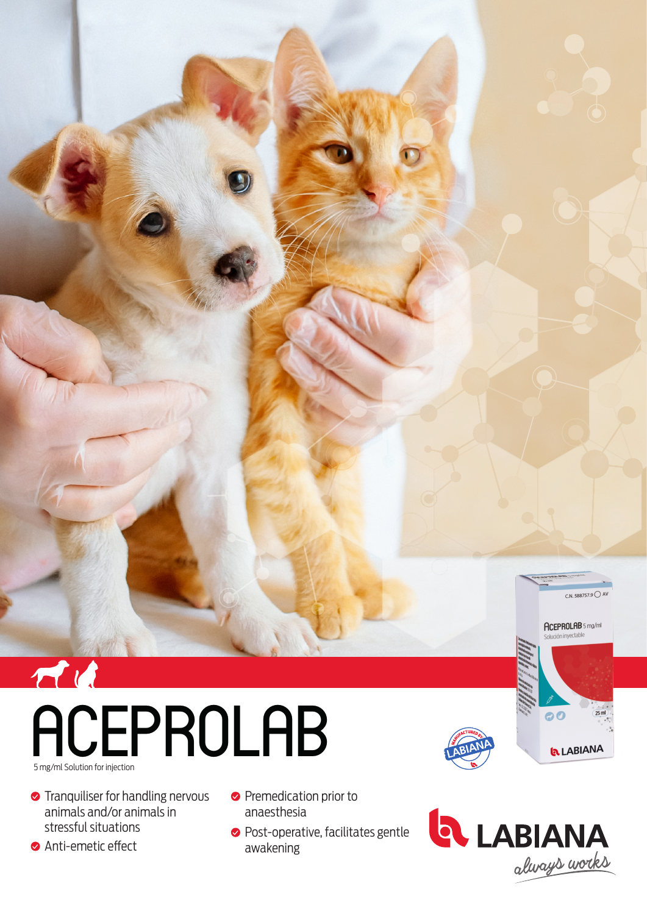

## ACEPROLAB 5 mg/ml Solution for injection

- **•** Tranquiliser for handling nervous animals and/or animals in stressful situations
- **Anti-emetic effect**
- **•** Premedication prior to anaesthesia
- **•** Post-operative, facilitates gentle awakening